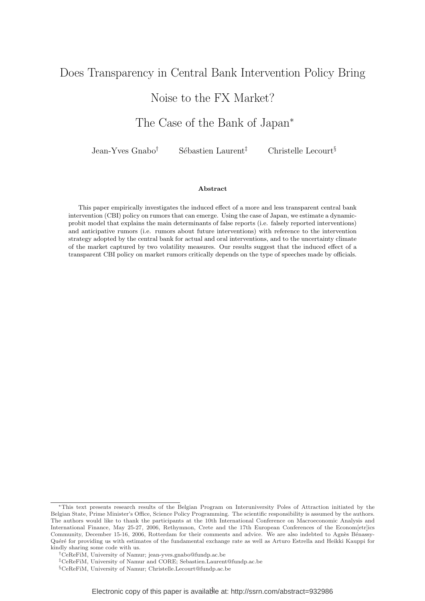# Does Transparency in Central Bank Intervention Policy Bring Noise to the FX Market?

# The Case of the Bank of Japan<sup>∗</sup>

Jean-Yves Gnabo<sup>†</sup> Sébastien Laurent<sup>‡</sup> Christelle Lecourt<sup>§</sup>

#### Abstract

This paper empirically investigates the induced effect of a more and less transparent central bank intervention (CBI) policy on rumors that can emerge. Using the case of Japan, we estimate a dynamicprobit model that explains the main determinants of false reports (i.e. falsely reported interventions) and anticipative rumors (i.e. rumors about future interventions) with reference to the intervention strategy adopted by the central bank for actual and oral interventions, and to the uncertainty climate of the market captured by two volatility measures. Our results suggest that the induced effect of a transparent CBI policy on market rumors critically depends on the type of speeches made by officials.

<sup>∗</sup>This text presents research results of the Belgian Program on Interuniversity Poles of Attraction initiated by the Belgian State, Prime Minister's Office, Science Policy Programming. The scientific responsibility is assumed by the authors. The authors would like to thank the participants at the 10th International Conference on Macroeconomic Analysis and International Finance, May 25-27, 2006, Rethymnon, Crete and the 17th European Conferences of the Econom[etr]ics Community, December 15-16, 2006, Rotterdam for their comments and advice. We are also indebted to Agnès Bénassy-Quéré for providing us with estimates of the fundamental exchange rate as well as Arturo Estrella and Heikki Kauppi for kindly sharing some code with us.

<sup>†</sup>CeReFiM, University of Namur; jean-yves.gnabo@fundp.ac.be

<sup>‡</sup>CeReFiM, University of Namur and CORE; Sebastien.Laurent@fundp.ac.be

<sup>§</sup>CeReFiM, University of Namur; Christelle.Lecourt@fundp.ac.be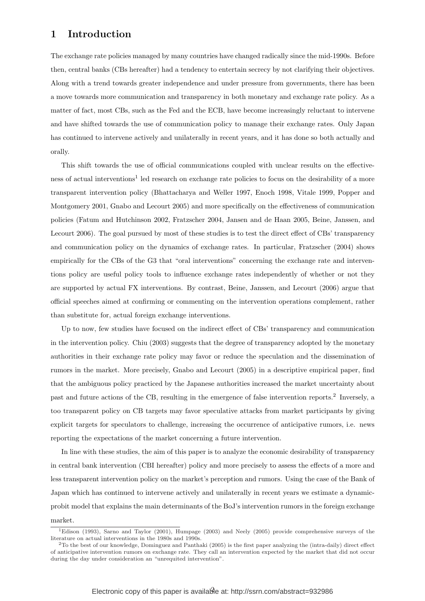# 1 Introduction

The exchange rate policies managed by many countries have changed radically since the mid-1990s. Before then, central banks (CBs hereafter) had a tendency to entertain secrecy by not clarifying their objectives. Along with a trend towards greater independence and under pressure from governments, there has been a move towards more communication and transparency in both monetary and exchange rate policy. As a matter of fact, most CBs, such as the Fed and the ECB, have become increasingly reluctant to intervene and have shifted towards the use of communication policy to manage their exchange rates. Only Japan has continued to intervene actively and unilaterally in recent years, and it has done so both actually and orally.

This shift towards the use of official communications coupled with unclear results on the effectiveness of actual interventions<sup>1</sup> led research on exchange rate policies to focus on the desirability of a more transparent intervention policy (Bhattacharya and Weller 1997, Enoch 1998, Vitale 1999, Popper and Montgomery 2001, Gnabo and Lecourt 2005) and more specifically on the effectiveness of communication policies (Fatum and Hutchinson 2002, Fratzscher 2004, Jansen and de Haan 2005, Beine, Janssen, and Lecourt 2006). The goal pursued by most of these studies is to test the direct effect of CBs' transparency and communication policy on the dynamics of exchange rates. In particular, Fratzscher (2004) shows empirically for the CBs of the G3 that "oral interventions" concerning the exchange rate and interventions policy are useful policy tools to influence exchange rates independently of whether or not they are supported by actual FX interventions. By contrast, Beine, Janssen, and Lecourt (2006) argue that official speeches aimed at confirming or commenting on the intervention operations complement, rather than substitute for, actual foreign exchange interventions.

Up to now, few studies have focused on the indirect effect of CBs' transparency and communication in the intervention policy. Chiu (2003) suggests that the degree of transparency adopted by the monetary authorities in their exchange rate policy may favor or reduce the speculation and the dissemination of rumors in the market. More precisely, Gnabo and Lecourt (2005) in a descriptive empirical paper, find that the ambiguous policy practiced by the Japanese authorities increased the market uncertainty about past and future actions of the CB, resulting in the emergence of false intervention reports.<sup>2</sup> Inversely, a too transparent policy on CB targets may favor speculative attacks from market participants by giving explicit targets for speculators to challenge, increasing the occurrence of anticipative rumors, i.e. news reporting the expectations of the market concerning a future intervention.

In line with these studies, the aim of this paper is to analyze the economic desirability of transparency in central bank intervention (CBI hereafter) policy and more precisely to assess the effects of a more and less transparent intervention policy on the market's perception and rumors. Using the case of the Bank of Japan which has continued to intervene actively and unilaterally in recent years we estimate a dynamicprobit model that explains the main determinants of the BoJ's intervention rumors in the foreign exchange market.

<sup>1</sup>Edison (1993), Sarno and Taylor (2001), Humpage (2003) and Neely (2005) provide comprehensive surveys of the literature on actual interventions in the 1980s and 1990s.

 $2$ To the best of our knowledge, Dominguez and Panthaki (2005) is the first paper analyzing the (intra-daily) direct effect of anticipative intervention rumors on exchange rate. They call an intervention expected by the market that did not occur during the day under consideration an "unrequited intervention".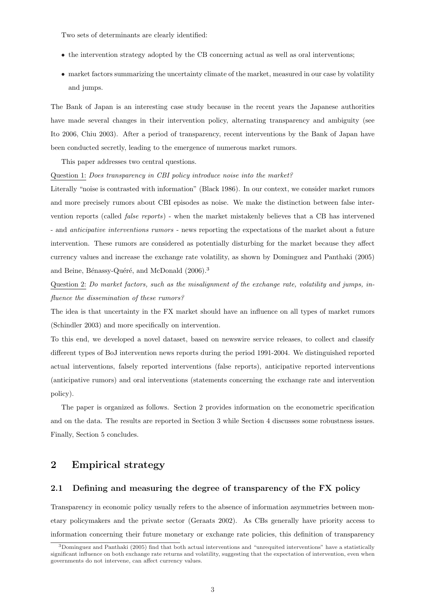Two sets of determinants are clearly identified:

- the intervention strategy adopted by the CB concerning actual as well as oral interventions;
- market factors summarizing the uncertainty climate of the market, measured in our case by volatility and jumps.

The Bank of Japan is an interesting case study because in the recent years the Japanese authorities have made several changes in their intervention policy, alternating transparency and ambiguity (see Ito 2006, Chiu 2003). After a period of transparency, recent interventions by the Bank of Japan have been conducted secretly, leading to the emergence of numerous market rumors.

This paper addresses two central questions.

Question 1: Does transparency in CBI policy introduce noise into the market?

Literally "noise is contrasted with information" (Black 1986). In our context, we consider market rumors and more precisely rumors about CBI episodes as noise. We make the distinction between false intervention reports (called false reports) - when the market mistakenly believes that a CB has intervened - and anticipative interventions rumors - news reporting the expectations of the market about a future intervention. These rumors are considered as potentially disturbing for the market because they affect currency values and increase the exchange rate volatility, as shown by Dominguez and Panthaki (2005) and Beine, Bénassy-Quéré, and McDonald  $(2006).<sup>3</sup>$ 

Question 2: Do market factors, such as the misalignment of the exchange rate, volatility and jumps, influence the dissemination of these rumors?

The idea is that uncertainty in the FX market should have an influence on all types of market rumors (Schindler 2003) and more specifically on intervention.

To this end, we developed a novel dataset, based on newswire service releases, to collect and classify different types of BoJ intervention news reports during the period 1991-2004. We distinguished reported actual interventions, falsely reported interventions (false reports), anticipative reported interventions (anticipative rumors) and oral interventions (statements concerning the exchange rate and intervention policy).

The paper is organized as follows. Section 2 provides information on the econometric specification and on the data. The results are reported in Section 3 while Section 4 discusses some robustness issues. Finally, Section 5 concludes.

# 2 Empirical strategy

## 2.1 Defining and measuring the degree of transparency of the FX policy

Transparency in economic policy usually refers to the absence of information asymmetries between monetary policymakers and the private sector (Geraats 2002). As CBs generally have priority access to information concerning their future monetary or exchange rate policies, this definition of transparency

<sup>3</sup>Dominguez and Panthaki (2005) find that both actual interventions and "unrequited interventions" have a statistically significant influence on both exchange rate returns and volatility, suggesting that the expectation of intervention, even when governments do not intervene, can affect currency values.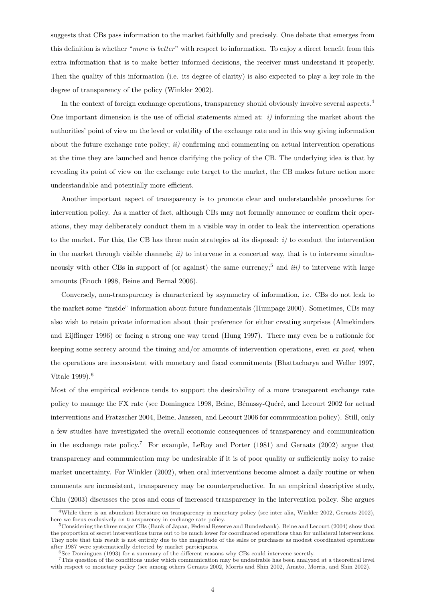suggests that CBs pass information to the market faithfully and precisely. One debate that emerges from this definition is whether "more is better" with respect to information. To enjoy a direct benefit from this extra information that is to make better informed decisions, the receiver must understand it properly. Then the quality of this information (i.e. its degree of clarity) is also expected to play a key role in the degree of transparency of the policy (Winkler 2002).

In the context of foreign exchange operations, transparency should obviously involve several aspects.<sup>4</sup> One important dimension is the use of official statements aimed at:  $i$ ) informing the market about the authorities' point of view on the level or volatility of the exchange rate and in this way giving information about the future exchange rate policy;  $ii)$  confirming and commenting on actual intervention operations at the time they are launched and hence clarifying the policy of the CB. The underlying idea is that by revealing its point of view on the exchange rate target to the market, the CB makes future action more understandable and potentially more efficient.

Another important aspect of transparency is to promote clear and understandable procedures for intervention policy. As a matter of fact, although CBs may not formally announce or confirm their operations, they may deliberately conduct them in a visible way in order to leak the intervention operations to the market. For this, the CB has three main strategies at its disposal:  $i$ ) to conduct the intervention in the market through visible channels;  $ii)$  to intervene in a concerted way, that is to intervene simultaneously with other CBs in support of (or against) the same currency;<sup>5</sup> and *iii*) to intervene with large amounts (Enoch 1998, Beine and Bernal 2006).

Conversely, non-transparency is characterized by asymmetry of information, i.e. CBs do not leak to the market some "inside" information about future fundamentals (Humpage 2000). Sometimes, CBs may also wish to retain private information about their preference for either creating surprises (Almekinders and Eijffinger 1996) or facing a strong one way trend (Hung 1997). There may even be a rationale for keeping some secrecy around the timing and/or amounts of intervention operations, even ex post, when the operations are inconsistent with monetary and fiscal commitments (Bhattacharya and Weller 1997, Vitale  $1999$ ).<sup>6</sup>

Most of the empirical evidence tends to support the desirability of a more transparent exchange rate policy to manage the FX rate (see Dominguez 1998, Beine, Bénassy-Quéré, and Lecourt 2002 for actual interventions and Fratzscher 2004, Beine, Janssen, and Lecourt 2006 for communication policy). Still, only a few studies have investigated the overall economic consequences of transparency and communication in the exchange rate policy.<sup>7</sup> For example, LeRoy and Porter (1981) and Geraats (2002) argue that transparency and communication may be undesirable if it is of poor quality or sufficiently noisy to raise market uncertainty. For Winkler (2002), when oral interventions become almost a daily routine or when comments are inconsistent, transparency may be counterproductive. In an empirical descriptive study, Chiu (2003) discusses the pros and cons of increased transparency in the intervention policy. She argues

<sup>4</sup>While there is an abundant literature on transparency in monetary policy (see inter alia, Winkler 2002, Geraats 2002), here we focus exclusively on transparency in exchange rate policy.

<sup>5</sup>Considering the three major CBs (Bank of Japan, Federal Reserve and Bundesbank), Beine and Lecourt (2004) show that the proportion of secret interventions turns out to be much lower for coordinated operations than for unilateral interventions. They note that this result is not entirely due to the magnitude of the sales or purchases as modest coordinated operations after 1987 were systematically detected by market participants.

 $6$ See Dominguez (1993) for a summary of the different reasons why CBs could intervene secretly.

<sup>7</sup>This question of the conditions under which communication may be undesirable has been analyzed at a theoretical level with respect to monetary policy (see among others Geraats 2002, Morris and Shin 2002, Amato, Morris, and Shin 2002).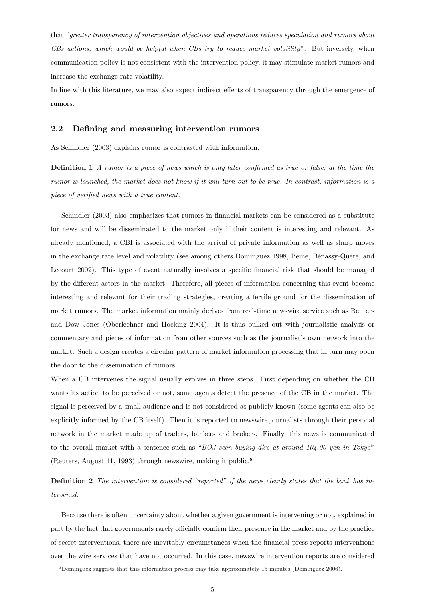that "greater transparency of intervention objectives and operations reduces speculation and rumors about CBs actions, which would be helpful when CBs try to reduce market volatility". But inversely, when communication policy is not consistent with the intervention policy, it may stimulate market rumors and increase the exchange rate volatility.

In line with this literature, we may also expect indirect effects of transparency through the emergence of rumors.

## 2.2 Defining and measuring intervention rumors

As Schindler (2003) explains rumor is contrasted with information.

Definition 1 A rumor is a piece of news which is only later confirmed as true or false; at the time the rumor is launched, the market does not know if it will turn out to be true. In contrast, information is a piece of verified news with a true content.

Schindler (2003) also emphasizes that rumors in financial markets can be considered as a substitute for news and will be disseminated to the market only if their content is interesting and relevant. As already mentioned, a CBI is associated with the arrival of private information as well as sharp moves in the exchange rate level and volatility (see among others Dominguez 1998, Beine, Bénassy-Quéré, and Lecourt 2002). This type of event naturally involves a specific financial risk that should be managed by the different actors in the market. Therefore, all pieces of information concerning this event become interesting and relevant for their trading strategies, creating a fertile ground for the dissemination of market rumors. The market information mainly derives from real-time newswire service such as Reuters and Dow Jones (Oberlechner and Hocking 2004). It is thus bulked out with journalistic analysis or commentary and pieces of information from other sources such as the journalist's own network into the market. Such a design creates a circular pattern of market information processing that in turn may open the door to the dissemination of rumors.

When a CB intervenes the signal usually evolves in three steps. First depending on whether the CB wants its action to be perceived or not, some agents detect the presence of the CB in the market. The signal is perceived by a small audience and is not considered as publicly known (some agents can also be explicitly informed by the CB itself). Then it is reported to newswire journalists through their personal network in the market made up of traders, bankers and brokers. Finally, this news is communicated to the overall market with a sentence such as "BOJ seen buying dlrs at around  $104.00$  yen in Tokyo" (Reuters, August 11, 1993) through newswire, making it public.<sup>8</sup>

Definition 2 The intervention is considered "reported" if the news clearly states that the bank has intervened.

Because there is often uncertainty about whether a given government is intervening or not, explained in part by the fact that governments rarely officially confirm their presence in the market and by the practice of secret interventions, there are inevitably circumstances when the financial press reports interventions over the wire services that have not occurred. In this case, newswire intervention reports are considered

<sup>8</sup>Dominguez suggests that this information process may take approximately 15 minutes (Dominguez 2006).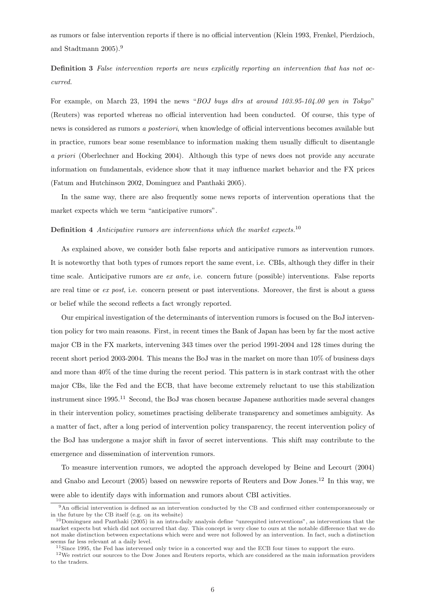as rumors or false intervention reports if there is no official intervention (Klein 1993, Frenkel, Pierdzioch, and Stadtmann 2005).<sup>9</sup>

Definition 3 False intervention reports are news explicitly reporting an intervention that has not occurred.

For example, on March 23, 1994 the news "BOJ buys dlrs at around 103.95-104.00 yen in Tokyo" (Reuters) was reported whereas no official intervention had been conducted. Of course, this type of news is considered as rumors a posteriori, when knowledge of official interventions becomes available but in practice, rumors bear some resemblance to information making them usually difficult to disentangle a priori (Oberlechner and Hocking 2004). Although this type of news does not provide any accurate information on fundamentals, evidence show that it may influence market behavior and the FX prices (Fatum and Hutchinson 2002, Dominguez and Panthaki 2005).

In the same way, there are also frequently some news reports of intervention operations that the market expects which we term "anticipative rumors".

## **Definition 4** Anticipative rumors are interventions which the market expects.<sup>10</sup>

As explained above, we consider both false reports and anticipative rumors as intervention rumors. It is noteworthy that both types of rumors report the same event, i.e. CBIs, although they differ in their time scale. Anticipative rumors are ex ante, i.e. concern future (possible) interventions. False reports are real time or ex post, i.e. concern present or past interventions. Moreover, the first is about a guess or belief while the second reflects a fact wrongly reported.

Our empirical investigation of the determinants of intervention rumors is focused on the BoJ intervention policy for two main reasons. First, in recent times the Bank of Japan has been by far the most active major CB in the FX markets, intervening 343 times over the period 1991-2004 and 128 times during the recent short period 2003-2004. This means the BoJ was in the market on more than 10% of business days and more than 40% of the time during the recent period. This pattern is in stark contrast with the other major CBs, like the Fed and the ECB, that have become extremely reluctant to use this stabilization instrument since 1995.<sup>11</sup> Second, the BoJ was chosen because Japanese authorities made several changes in their intervention policy, sometimes practising deliberate transparency and sometimes ambiguity. As a matter of fact, after a long period of intervention policy transparency, the recent intervention policy of the BoJ has undergone a major shift in favor of secret interventions. This shift may contribute to the emergence and dissemination of intervention rumors.

To measure intervention rumors, we adopted the approach developed by Beine and Lecourt (2004) and Gnabo and Lecourt (2005) based on newswire reports of Reuters and Dow Jones.<sup>12</sup> In this way, we were able to identify days with information and rumors about CBI activities.

<sup>9</sup>An official intervention is defined as an intervention conducted by the CB and confirmed either contemporaneously or in the future by the CB itself (e.g. on its website)

 $10$ Dominguez and Panthaki (2005) in an intra-daily analysis define "unrequited interventions", as interventions that the market expects but which did not occurred that day. This concept is very close to ours at the notable difference that we do not make distinction between expectations which were and were not followed by an intervention. In fact, such a distinction seems far less relevant at a daily level.

 $11$ Since 1995, the Fed has intervened only twice in a concerted way and the ECB four times to support the euro.

<sup>&</sup>lt;sup>12</sup>We restrict our sources to the Dow Jones and Reuters reports, which are considered as the main information providers to the traders.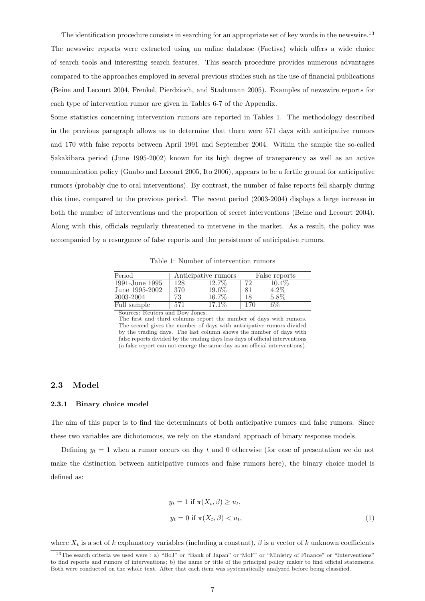The identification procedure consists in searching for an appropriate set of key words in the newswire.<sup>13</sup> The newswire reports were extracted using an online database (Factiva) which offers a wide choice of search tools and interesting search features. This search procedure provides numerous advantages compared to the approaches employed in several previous studies such as the use of financial publications (Beine and Lecourt 2004, Frenkel, Pierdzioch, and Stadtmann 2005). Examples of newswire reports for each type of intervention rumor are given in Tables 6-7 of the Appendix.

Some statistics concerning intervention rumors are reported in Tables 1. The methodology described in the previous paragraph allows us to determine that there were 571 days with anticipative rumors and 170 with false reports between April 1991 and September 2004. Within the sample the so-called Sakakibara period (June 1995-2002) known for its high degree of transparency as well as an active communication policy (Gnabo and Lecourt 2005, Ito 2006), appears to be a fertile ground for anticipative rumors (probably due to oral interventions). By contrast, the number of false reports fell sharply during this time, compared to the previous period. The recent period (2003-2004) displays a large increase in both the number of interventions and the proportion of secret interventions (Beine and Lecourt 2004). Along with this, officials regularly threatened to intervene in the market. As a result, the policy was accompanied by a resurgence of false reports and the persistence of anticipative rumors.

Table 1: Number of intervention rumors

| Period                          |     | Anticipative rumors |     | False reports |  |
|---------------------------------|-----|---------------------|-----|---------------|--|
| $1991$ -June 1995               | 128 | $12.7\%$            | 72  | $10.4\%$      |  |
| June 1995-2002                  | 370 | 19.6%               |     | 4.2%          |  |
| 2003-2004                       | 73  | 16.7%               | 18  | 5.8%          |  |
| Full sample                     | 571 | 171%                | 170 | 6%            |  |
| Sources: Reuters and Dow Jones. |     |                     |     |               |  |

The first and third columns report the number of days with rumors. The second gives the number of days with anticipative rumors divided by the trading days. The last column shows the number of days with false reports divided by the trading days less days of official interventions (a false report can not emerge the same day as an official interventions).

## 2.3 Model

#### 2.3.1 Binary choice model

The aim of this paper is to find the determinants of both anticipative rumors and false rumors. Since these two variables are dichotomous, we rely on the standard approach of binary response models.

Defining  $y_t = 1$  when a rumor occurs on day t and 0 otherwise (for ease of presentation we do not make the distinction between anticipative rumors and false rumors here), the binary choice model is defined as:

$$
y_t = 1 \text{ if } \pi(X_t, \beta) \ge u_t,
$$
  

$$
y_t = 0 \text{ if } \pi(X_t, \beta) < u_t,
$$
\n
$$
(1)
$$

where  $X_t$  is a set of k explanatory variables (including a constant),  $\beta$  is a vector of k unknown coefficients

<sup>13</sup>The search criteria we used were : a) "BoJ" or "Bank of Japan" or"MoF" or "Ministry of Finance" or "Interventions" to find reports and rumors of interventions; b) the name or title of the principal policy maker to find official statements. Both were conducted on the whole text. After that each item was systematically analyzed before being classified.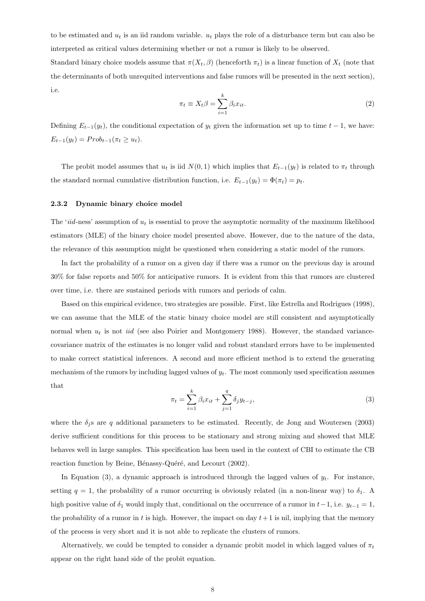to be estimated and  $u_t$  is an iid random variable.  $u_t$  plays the role of a disturbance term but can also be interpreted as critical values determining whether or not a rumor is likely to be observed.

Standard binary choice models assume that  $\pi(X_t, \beta)$  (henceforth  $\pi_t$ ) is a linear function of  $X_t$  (note that the determinants of both unrequited interventions and false rumors will be presented in the next section), i.e.

$$
\pi_t \equiv X_t \beta = \sum_{i=1}^k \beta_i x_{it}.
$$
\n(2)

Defining  $E_{t-1}(y_t)$ , the conditional expectation of  $y_t$  given the information set up to time  $t-1$ , we have:  $E_{t-1}(y_t) = Prob_{t-1}(\pi_t \ge u_t).$ 

The probit model assumes that  $u_t$  is iid  $N(0, 1)$  which implies that  $E_{t-1}(y_t)$  is related to  $\pi_t$  through the standard normal cumulative distribution function, i.e.  $E_{t-1}(y_t) = \Phi(\pi_t) = p_t$ .

#### 2.3.2 Dynamic binary choice model

The 'iid-ness' assumption of  $u_t$  is essential to prove the asymptotic normality of the maximum likelihood estimators (MLE) of the binary choice model presented above. However, due to the nature of the data, the relevance of this assumption might be questioned when considering a static model of the rumors.

In fact the probability of a rumor on a given day if there was a rumor on the previous day is around 30% for false reports and 50% for anticipative rumors. It is evident from this that rumors are clustered over time, i.e. there are sustained periods with rumors and periods of calm.

Based on this empirical evidence, two strategies are possible. First, like Estrella and Rodrigues (1998), we can assume that the MLE of the static binary choice model are still consistent and asymptotically normal when  $u_t$  is not *iid* (see also Poirier and Montgomery 1988). However, the standard variancecovariance matrix of the estimates is no longer valid and robust standard errors have to be implemented to make correct statistical inferences. A second and more efficient method is to extend the generating mechanism of the rumors by including lagged values of  $y_t$ . The most commonly used specification assumes that

$$
\pi_t = \sum_{i=1}^k \beta_i x_{it} + \sum_{j=1}^q \delta_j y_{t-j},
$$
\n(3)

where the  $\delta_j$ s are q additional parameters to be estimated. Recently, de Jong and Woutersen (2003) derive sufficient conditions for this process to be stationary and strong mixing and showed that MLE behaves well in large samples. This specification has been used in the context of CBI to estimate the CB reaction function by Beine, Bénassy-Quéré, and Lecourt (2002).

In Equation (3), a dynamic approach is introduced through the lagged values of  $y_t$ . For instance, setting  $q = 1$ , the probability of a rumor occurring is obviously related (in a non-linear way) to  $\delta_1$ . A high positive value of  $\delta_1$  would imply that, conditional on the occurrence of a rumor in  $t-1$ , i.e.  $y_{t-1} = 1$ , the probability of a rumor in t is high. However, the impact on day  $t+1$  is nil, implying that the memory of the process is very short and it is not able to replicate the clusters of rumors.

Alternatively, we could be tempted to consider a dynamic probit model in which lagged values of  $\pi_t$ appear on the right hand side of the probit equation.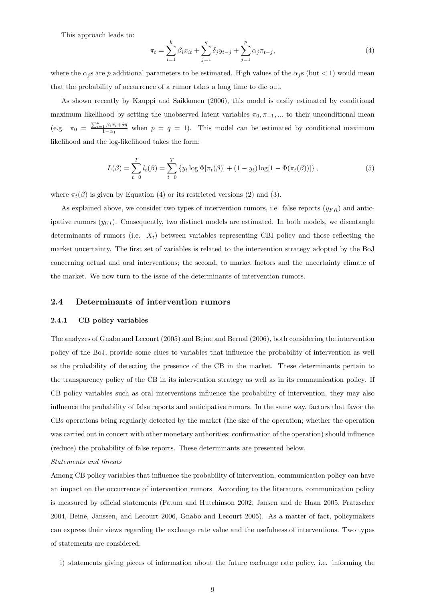This approach leads to:

$$
\pi_t = \sum_{i=1}^k \beta_i x_{it} + \sum_{j=1}^q \delta_j y_{t-j} + \sum_{j=1}^p \alpha_j \pi_{t-j},
$$
\n(4)

where the  $\alpha_i$ s are p additional parameters to be estimated. High values of the  $\alpha_i$ s (but < 1) would mean that the probability of occurrence of a rumor takes a long time to die out.

As shown recently by Kauppi and Saikkonen (2006), this model is easily estimated by conditional maximum likelihood by setting the unobserved latent variables  $\pi_0, \pi_{-1}$ , ... to their unconditional mean  $(e.g. \pi_0 =$  $\frac{\sum_{i=1}^{k} \beta_i \bar{x}_i + \delta \bar{y}}{1-\alpha_1}$  when  $p = q = 1$ ). This model can be estimated by conditional maximum likelihood and the log-likelihood takes the form:

$$
L(\beta) = \sum_{t=0}^{T} l_t(\beta) = \sum_{t=0}^{T} \{ y_t \log \Phi[\pi_t(\beta)] + (1 - y_t) \log[1 - \Phi(\pi_t(\beta))] \},
$$
\n(5)

where  $\pi_t(\beta)$  is given by Equation (4) or its restricted versions (2) and (3).

As explained above, we consider two types of intervention rumors, i.e. false reports  $(y_{FR})$  and anticipative rumors  $(y_{UI})$ . Consequently, two distinct models are estimated. In both models, we disentangle determinants of rumors (i.e.  $X_t$ ) between variables representing CBI policy and those reflecting the market uncertainty. The first set of variables is related to the intervention strategy adopted by the BoJ concerning actual and oral interventions; the second, to market factors and the uncertainty climate of the market. We now turn to the issue of the determinants of intervention rumors.

## 2.4 Determinants of intervention rumors

#### 2.4.1 CB policy variables

The analyzes of Gnabo and Lecourt (2005) and Beine and Bernal (2006), both considering the intervention policy of the BoJ, provide some clues to variables that influence the probability of intervention as well as the probability of detecting the presence of the CB in the market. These determinants pertain to the transparency policy of the CB in its intervention strategy as well as in its communication policy. If CB policy variables such as oral interventions influence the probability of intervention, they may also influence the probability of false reports and anticipative rumors. In the same way, factors that favor the CBs operations being regularly detected by the market (the size of the operation; whether the operation was carried out in concert with other monetary authorities; confirmation of the operation) should influence (reduce) the probability of false reports. These determinants are presented below.

#### Statements and threats

Among CB policy variables that influence the probability of intervention, communication policy can have an impact on the occurrence of intervention rumors. According to the literature, communication policy is measured by official statements (Fatum and Hutchinson 2002, Jansen and de Haan 2005, Fratzscher 2004, Beine, Janssen, and Lecourt 2006, Gnabo and Lecourt 2005). As a matter of fact, policymakers can express their views regarding the exchange rate value and the usefulness of interventions. Two types of statements are considered:

i) statements giving pieces of information about the future exchange rate policy, i.e. informing the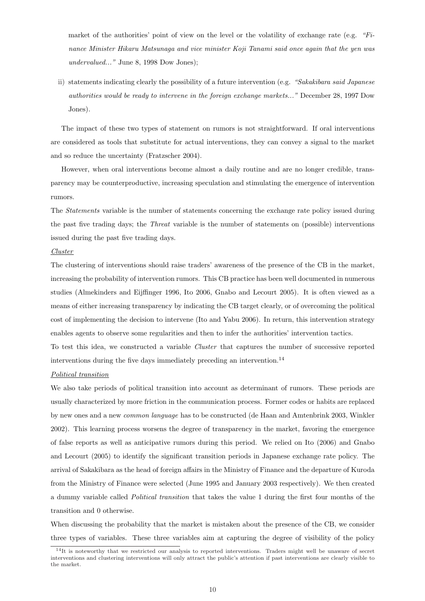market of the authorities' point of view on the level or the volatility of exchange rate (e.g. "Finance Minister Hikaru Matsunaga and vice minister Koji Tanami said once again that the yen was undervalued..." June 8, 1998 Dow Jones);

ii) statements indicating clearly the possibility of a future intervention (e.g. "Sakakibara said Japanese authorities would be ready to intervene in the foreign exchange markets..." December 28, 1997 Dow Jones).

The impact of these two types of statement on rumors is not straightforward. If oral interventions are considered as tools that substitute for actual interventions, they can convey a signal to the market and so reduce the uncertainty (Fratzscher 2004).

However, when oral interventions become almost a daily routine and are no longer credible, transparency may be counterproductive, increasing speculation and stimulating the emergence of intervention rumors.

The Statements variable is the number of statements concerning the exchange rate policy issued during the past five trading days; the Threat variable is the number of statements on (possible) interventions issued during the past five trading days.

#### Cluster

The clustering of interventions should raise traders' awareness of the presence of the CB in the market, increasing the probability of intervention rumors. This CB practice has been well documented in numerous studies (Almekinders and Eijffinger 1996, Ito 2006, Gnabo and Lecourt 2005). It is often viewed as a means of either increasing transparency by indicating the CB target clearly, or of overcoming the political cost of implementing the decision to intervene (Ito and Yabu 2006). In return, this intervention strategy enables agents to observe some regularities and then to infer the authorities' intervention tactics.

To test this idea, we constructed a variable *Cluster* that captures the number of successive reported interventions during the five days immediately preceding an intervention.<sup>14</sup>

#### Political transition

We also take periods of political transition into account as determinant of rumors. These periods are usually characterized by more friction in the communication process. Former codes or habits are replaced by new ones and a new common language has to be constructed (de Haan and Amtenbrink 2003, Winkler 2002). This learning process worsens the degree of transparency in the market, favoring the emergence of false reports as well as anticipative rumors during this period. We relied on Ito (2006) and Gnabo and Lecourt (2005) to identify the significant transition periods in Japanese exchange rate policy. The arrival of Sakakibara as the head of foreign affairs in the Ministry of Finance and the departure of Kuroda from the Ministry of Finance were selected (June 1995 and January 2003 respectively). We then created a dummy variable called Political transition that takes the value 1 during the first four months of the transition and 0 otherwise.

When discussing the probability that the market is mistaken about the presence of the CB, we consider three types of variables. These three variables aim at capturing the degree of visibility of the policy

<sup>&</sup>lt;sup>14</sup>It is noteworthy that we restricted our analysis to reported interventions. Traders might well be unaware of secret interventions and clustering interventions will only attract the public's attention if past interventions are clearly visible to the market.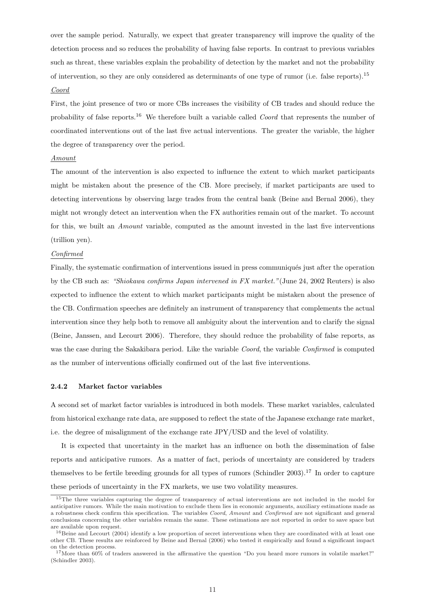over the sample period. Naturally, we expect that greater transparency will improve the quality of the detection process and so reduces the probability of having false reports. In contrast to previous variables such as threat, these variables explain the probability of detection by the market and not the probability of intervention, so they are only considered as determinants of one type of rumor (i.e. false reports).<sup>15</sup> Coord

First, the joint presence of two or more CBs increases the visibility of CB trades and should reduce the probability of false reports.<sup>16</sup> We therefore built a variable called *Coord* that represents the number of coordinated interventions out of the last five actual interventions. The greater the variable, the higher the degree of transparency over the period.

#### Amount

The amount of the intervention is also expected to influence the extent to which market participants might be mistaken about the presence of the CB. More precisely, if market participants are used to detecting interventions by observing large trades from the central bank (Beine and Bernal 2006), they might not wrongly detect an intervention when the FX authorities remain out of the market. To account for this, we built an Amount variable, computed as the amount invested in the last five interventions (trillion yen).

#### Confirmed

Finally, the systematic confirmation of interventions issued in press communiqués just after the operation by the CB such as: "Shiokawa confirms Japan intervened in FX market."(June 24, 2002 Reuters) is also expected to influence the extent to which market participants might be mistaken about the presence of the CB. Confirmation speeches are definitely an instrument of transparency that complements the actual intervention since they help both to remove all ambiguity about the intervention and to clarify the signal (Beine, Janssen, and Lecourt 2006). Therefore, they should reduce the probability of false reports, as was the case during the Sakakibara period. Like the variable Coord, the variable Confirmed is computed as the number of interventions officially confirmed out of the last five interventions.

## 2.4.2 Market factor variables

A second set of market factor variables is introduced in both models. These market variables, calculated from historical exchange rate data, are supposed to reflect the state of the Japanese exchange rate market, i.e. the degree of misalignment of the exchange rate JPY/USD and the level of volatility.

It is expected that uncertainty in the market has an influence on both the dissemination of false reports and anticipative rumors. As a matter of fact, periods of uncertainty are considered by traders themselves to be fertile breeding grounds for all types of rumors (Schindler  $2003$ ).<sup>17</sup> In order to capture these periods of uncertainty in the FX markets, we use two volatility measures.

<sup>15</sup>The three variables capturing the degree of transparency of actual interventions are not included in the model for anticipative rumors. While the main motivation to exclude them lies in economic arguments, auxiliary estimations made as a robustness check confirm this specification. The variables Coord, Amount and Confirmed are not significant and general conclusions concerning the other variables remain the same. These estimations are not reported in order to save space but are available upon request.

 $16$ Beine and Lecourt (2004) identify a low proportion of secret interventions when they are coordinated with at least one other CB. These results are reinforced by Beine and Bernal (2006) who tested it empirically and found a significant impact on the detection process.

 $17$ More than 60% of traders answered in the affirmative the question "Do you heard more rumors in volatile market?" (Schindler 2003).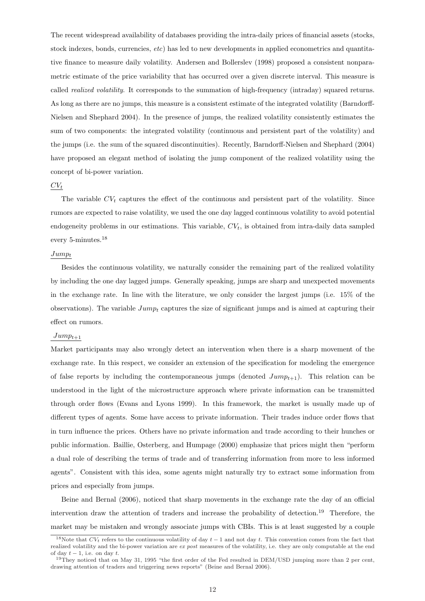The recent widespread availability of databases providing the intra-daily prices of financial assets (stocks, stock indexes, bonds, currencies, etc) has led to new developments in applied econometrics and quantitative finance to measure daily volatility. Andersen and Bollerslev (1998) proposed a consistent nonparametric estimate of the price variability that has occurred over a given discrete interval. This measure is called realized volatility. It corresponds to the summation of high-frequency (intraday) squared returns. As long as there are no jumps, this measure is a consistent estimate of the integrated volatility (Barndorff-Nielsen and Shephard 2004). In the presence of jumps, the realized volatility consistently estimates the sum of two components: the integrated volatility (continuous and persistent part of the volatility) and the jumps (i.e. the sum of the squared discontinuities). Recently, Barndorff-Nielsen and Shephard (2004) have proposed an elegant method of isolating the jump component of the realized volatility using the concept of bi-power variation.

## $CV_t$

The variable  $CV_t$  captures the effect of the continuous and persistent part of the volatility. Since rumors are expected to raise volatility, we used the one day lagged continuous volatility to avoid potential endogeneity problems in our estimations. This variable,  $CV_t$ , is obtained from intra-daily data sampled every 5-minutes.<sup>18</sup>

## $Jump_t$

Besides the continuous volatility, we naturally consider the remaining part of the realized volatility by including the one day lagged jumps. Generally speaking, jumps are sharp and unexpected movements in the exchange rate. In line with the literature, we only consider the largest jumps (i.e. 15% of the observations). The variable  $Jump_t$  captures the size of significant jumps and is aimed at capturing their effect on rumors.

#### $Jump_{t+1}$

Market participants may also wrongly detect an intervention when there is a sharp movement of the exchange rate. In this respect, we consider an extension of the specification for modeling the emergence of false reports by including the contemporaneous jumps (denoted  $Jump_{t+1}$ ). This relation can be understood in the light of the microstructure approach where private information can be transmitted through order flows (Evans and Lyons 1999). In this framework, the market is usually made up of different types of agents. Some have access to private information. Their trades induce order flows that in turn influence the prices. Others have no private information and trade according to their hunches or public information. Baillie, Osterberg, and Humpage (2000) emphasize that prices might then "perform a dual role of describing the terms of trade and of transferring information from more to less informed agents". Consistent with this idea, some agents might naturally try to extract some information from prices and especially from jumps.

Beine and Bernal (2006), noticed that sharp movements in the exchange rate the day of an official intervention draw the attention of traders and increase the probability of detection.<sup>19</sup> Therefore, the market may be mistaken and wrongly associate jumps with CBIs. This is at least suggested by a couple

<sup>&</sup>lt;sup>18</sup>Note that  $CV_t$  refers to the continuous volatility of day  $t-1$  and not day t. This convention comes from the fact that realized volatility and the bi-power variation are ex post measures of the volatility, i.e. they are only computable at the end of day  $t - 1$ , i.e. on day  $t$ .

 $19$ They noticed that on May 31, 1995 "the first order of the Fed resulted in DEM/USD jumping more than 2 per cent, drawing attention of traders and triggering news reports" (Beine and Bernal 2006).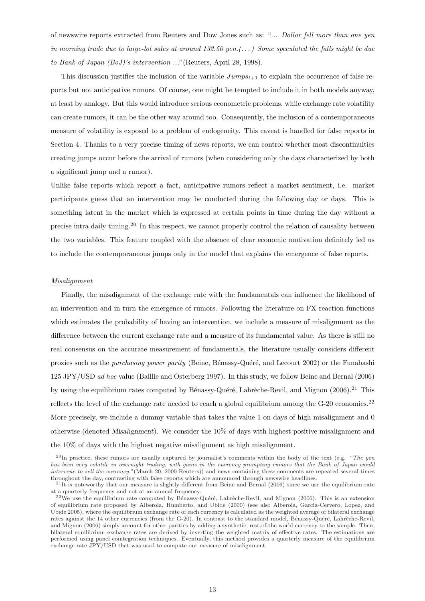of newswire reports extracted from Reuters and Dow Jones such as: "... Dollar fell more than one yen in morning trade due to large-lot sales at around  $132.50$  yen.(...) Some speculated the falls might be due to Bank of Japan (BoJ)'s intervention ..."(Reuters, April 28, 1998).

This discussion justifies the inclusion of the variable  $Jump_{t+1}$  to explain the occurrence of false reports but not anticipative rumors. Of course, one might be tempted to include it in both models anyway, at least by analogy. But this would introduce serious econometric problems, while exchange rate volatility can create rumors, it can be the other way around too. Consequently, the inclusion of a contemporaneous measure of volatility is exposed to a problem of endogeneity. This caveat is handled for false reports in Section 4. Thanks to a very precise timing of news reports, we can control whether most discontinuities creating jumps occur before the arrival of rumors (when considering only the days characterized by both a significant jump and a rumor).

Unlike false reports which report a fact, anticipative rumors reflect a market sentiment, i.e. market participants guess that an intervention may be conducted during the following day or days. This is something latent in the market which is expressed at certain points in time during the day without a precise intra daily timing.<sup>20</sup> In this respect, we cannot properly control the relation of causality between the two variables. This feature coupled with the absence of clear economic motivation definitely led us to include the contemporaneous jumps only in the model that explains the emergence of false reports.

#### Misalignment

Finally, the misalignment of the exchange rate with the fundamentals can influence the likelihood of an intervention and in turn the emergence of rumors. Following the literature on FX reaction functions which estimates the probability of having an intervention, we include a measure of misalignment as the difference between the current exchange rate and a measure of its fundamental value. As there is still no real consensus on the accurate measurement of fundamentals, the literature usually considers different proxies such as the *purchasing power parity* (Beine, Bénassy-Quéré, and Lecourt 2002) or the Funabashi 125 JPY/USD ad hoc value (Baillie and Osterberg 1997). In this study, we follow Beine and Bernal (2006) by using the equilibrium rates computed by Bénassy-Quéré, Lahrèche-Revil, and Mignon  $(2006).^{21}$  This reflects the level of the exchange rate needed to reach a global equilibrium among the  $G-20$  economies.<sup>22</sup> More precisely, we include a dummy variable that takes the value 1 on days of high misalignment and 0 otherwise (denoted Misalignment). We consider the 10% of days with highest positive misalignment and the 10% of days with the highest negative misalignment as high misalignment.

 $^{20}$ In practice, these rumors are usually captured by journalist's comments within the body of the text (e.g. "The yen has been very volatile in overnight trading, with gains in the currency prompting rumors that the Bank of Japan would intervene to sell the currency."(March 20, 2000 Reuters)) and news containing these comments are repeated several times throughout the day, contrasting with false reports which are announced through newswire headlines.

 $^{21}$ It is noteworthy that our measure is slightly different from Beine and Bernal (2006) since we use the equilibrium rate at a quarterly frequency and not at an annual frequency.

<sup>&</sup>lt;sup>22</sup>We use the equilibrium rate computed by Bénassy-Quéré, Lahrèche-Revil, and Mignon (2006). This is an extension of equilibrium rate proposed by Alberola, Humberto, and Ubide (2000) (see also Alberola, Garcia-Cervero, Lopez, and Ubide 2005), where the equilibrium exchange rate of each currency is calculated as the weighted average of bilateral exchange rates against the 14 other currencies (from the G-20). In contrast to the standard model, Bénassy-Quéré, Lahrèche-Revil, and Mignon (2006) simply account for other parities by adding a synthetic, rest-of-the world currency to the sample. Then, bilateral equilibrium exchange rates are derived by inverting the weighted matrix of effective rates. The estimations are performed using panel cointegration techniques. Eventually, this method provides a quarterly measure of the equilibrium exchange rate JPY/USD that was used to compute our measure of misalignment.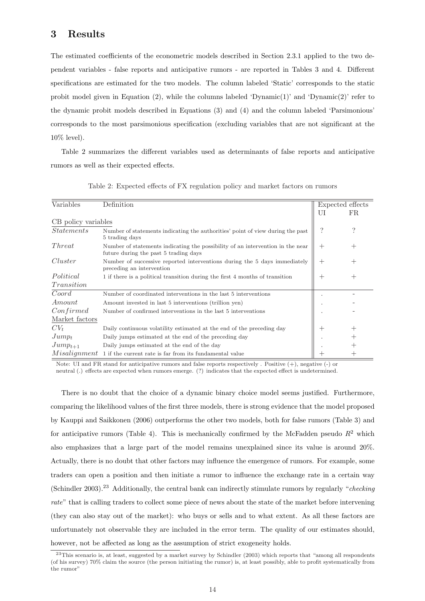# 3 Results

The estimated coefficients of the econometric models described in Section 2.3.1 applied to the two dependent variables - false reports and anticipative rumors - are reported in Tables 3 and 4. Different specifications are estimated for the two models. The column labeled 'Static' corresponds to the static probit model given in Equation (2), while the columns labeled 'Dynamic(1)' and 'Dynamic(2)' refer to the dynamic probit models described in Equations (3) and (4) and the column labeled 'Parsimonious' corresponds to the most parsimonious specification (excluding variables that are not significant at the 10% level).

Table 2 summarizes the different variables used as determinants of false reports and anticipative rumors as well as their expected effects.

| Variables           | Definition                                                                                                              |                    | Expected effects |
|---------------------|-------------------------------------------------------------------------------------------------------------------------|--------------------|------------------|
|                     |                                                                                                                         | UI                 | FR.              |
| CB policy variables |                                                                                                                         |                    |                  |
| <i>Statements</i>   | Number of statements indicating the authorities' point of view during the past<br>5 trading days                        | $\gamma$           | ?                |
| Threat              | Number of statements indicating the possibility of an intervention in the near<br>future during the past 5 trading days | $\pm$              |                  |
| Cluster             | Number of successive reported interventions during the 5 days immediately<br>preceding an intervention                  | $\pm$              |                  |
| Political           | 1 if there is a political transition during the first 4 months of transition                                            | $^{+}$             | $^{+}$           |
| Transition          |                                                                                                                         |                    |                  |
| Coord               | Number of coordinated interventions in the last 5 interventions                                                         |                    |                  |
| Amount              | Amount invested in last 5 interventions (trillion yen)                                                                  |                    |                  |
| Confirmed           | Number of confirmed interventions in the last 5 interventions                                                           |                    |                  |
| Market factors      |                                                                                                                         |                    |                  |
| $CV_t$              | Daily continuous volatility estimated at the end of the preceding day                                                   | $^+$               | $^+$             |
| $Jump_t$            | Daily jumps estimated at the end of the preceding day                                                                   |                    |                  |
| $Jump_{t+1}$        | Daily jumps estimated at the end of the day                                                                             |                    |                  |
| M is alignment      | 1 if the current rate is far from its fundamental value                                                                 | $\hspace{0.1mm} +$ |                  |

Table 2: Expected effects of FX regulation policy and market factors on rumors

Note: UI and FR stand for anticipative rumors and false reports respectively . Positive  $(+)$ , negative  $(-)$  or neutral (.) effects are expected when rumors emerge. (?) indicates that the expected effect is undetermined.

There is no doubt that the choice of a dynamic binary choice model seems justified. Furthermore, comparing the likelihood values of the first three models, there is strong evidence that the model proposed by Kauppi and Saikkonen (2006) outperforms the other two models, both for false rumors (Table 3) and for anticipative rumors (Table 4). This is mechanically confirmed by the McFadden pseudo  $R^2$  which also emphasizes that a large part of the model remains unexplained since its value is around 20%. Actually, there is no doubt that other factors may influence the emergence of rumors. For example, some traders can open a position and then initiate a rumor to influence the exchange rate in a certain way (Schindler 2003).<sup>23</sup> Additionally, the central bank can indirectly stimulate rumors by regularly "*checking* rate" that is calling traders to collect some piece of news about the state of the market before intervening (they can also stay out of the market): who buys or sells and to what extent. As all these factors are unfortunately not observable they are included in the error term. The quality of our estimates should, however, not be affected as long as the assumption of strict exogeneity holds.

<sup>&</sup>lt;sup>23</sup>This scenario is, at least, suggested by a market survey by Schindler (2003) which reports that "among all respondents" (of his survey) 70% claim the source (the person initiating the rumor) is, at least possibly, able to profit systematically from the rumor'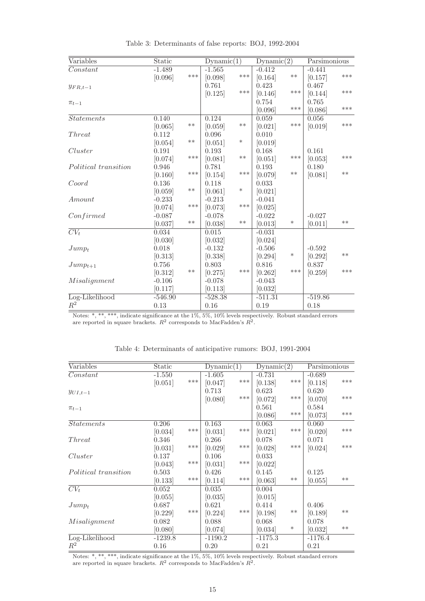| Variables                          | Static    |       | Dynamic(1) |        | Dynamic(2) |        | Parsimonious |      |
|------------------------------------|-----------|-------|------------|--------|------------|--------|--------------|------|
| Constant                           | $-1.489$  |       | $-1.565$   |        | $-0.412$   |        | $-0.441$     |      |
|                                    | [0.096]   | $***$ | [0.098]    | $***$  | [0.164]    | $***$  | [0.157]      | ***  |
| $y_{FR,t-1}$                       |           |       | 0.761      |        | 0.423      |        | 0.467        |      |
|                                    |           |       | [0.125]    | $***$  | [0.146]    | $***$  | [0.144]      | ***  |
| $\pi_{t-1}$                        |           |       |            |        | 0.754      |        | 0.765        |      |
|                                    |           |       |            |        | [0.096]    | ***    | [0.086]      | ***  |
| $\overline{States}$                | 0.140     |       | 0.124      |        | 0.059      |        | 0.056        |      |
|                                    | [0.065]   | $**$  | [0.059]    | $**$   | [0.021]    | ***    | [0.019]      | ***  |
| Threat                             | 0.112     |       | 0.096      |        | 0.010      |        |              |      |
|                                    | [0.054]   | $***$ | [0.051]    | $\ast$ | [0.019]    |        |              |      |
| Cluster                            | 0.191     |       | 0.193      |        | 0.168      |        | 0.161        |      |
|                                    | [0.074]   | ***   | [0.081]    | $**$   | [0.051]    | ***    | [0.053]      | ***  |
| Political transition               | 0.946     |       | 0.781      |        | 0.193      |        | 0.180        |      |
|                                    | [0.160]   | ***   | [0.154]    | $***$  | [0.079]    | $***$  | [0.081]      | $**$ |
| Coord                              | 0.136     |       | 0.118      |        | 0.033      |        |              |      |
|                                    | [0.059]   | $***$ | [0.061]    | $\ast$ | [0.021]    |        |              |      |
| Amount                             | $-0.233$  |       | $-0.213$   |        | $-0.041$   |        |              |      |
|                                    | [0.074]   | ***   | [0.073]    | ***    | [0.025]    |        |              |      |
| Confirmed                          | $-0.087$  |       | $-0.078$   |        | $-0.022$   |        | $-0.027$     |      |
|                                    | [0.037]   | $***$ | [0.038]    | $**$   | [0.013]    | $\ast$ | [0.011]      | $**$ |
| $\overline{CV_t}$                  | 0.034     |       | 0.015      |        | $-0.031$   |        |              |      |
|                                    | [0.030]   |       | [0.032]    |        | [0.024]    |        |              |      |
| $Jump_t$                           | 0.018     |       | $-0.132$   |        | $-0.506$   |        | $-0.592$     |      |
|                                    | [0.313]   |       | [0.338]    |        | [0.294]    | $\ast$ | [0.292]      | $**$ |
| $Jump_{t+1}$                       | 0.756     |       | 0.803      |        | 0.816      |        | 0.837        |      |
|                                    | [0.312]   | $***$ | [0.275]    | $***$  | [0.262]    | ***    | [0.259]      | ***  |
| M is alignment                     | $-0.106$  |       | $-0.078$   |        | $-0.043$   |        |              |      |
|                                    | [0.117]   |       | [0.113]    |        | [0.032]    |        |              |      |
| $\overline{\text{Log-Likelihood}}$ | $-546.90$ |       | $-528.38$  |        | $-511.31$  |        | $-519.86$    |      |
| $R^2$                              | 0.13      |       | 0.16       |        | 0.19       |        | 0.18         |      |

Table 3: Determinants of false reports: BOJ, 1992-2004

Notes: \*, \*\*, \*\*\*, indicate significance at the 1%, 5%, 10% levels respectively. Robust standard errors are reported in square brackets.  $R^2$  corresponds to MacFadden's  $R^2$ .

| Variables                   | Static    | Dynamic(1) |           |       | Dynamic(2) |        | Parsimonious |       |
|-----------------------------|-----------|------------|-----------|-------|------------|--------|--------------|-------|
| Constant                    | $-1.550$  |            | $-1.605$  |       | $-0.731$   |        | $-0.689$     |       |
|                             | [0.051]   | ***        | [0.047]   | $***$ | [0.138]    | ***    | [0.118]      | ***   |
| $y_{UI,t-1}$                |           |            | 0.713     |       | 0.623      |        | 0.620        |       |
|                             |           |            | [0.080]   | $***$ | [0.072]    | ***    | [0.070]      | ***   |
| $\pi_{t-1}$                 |           |            |           |       | 0.561      |        | 0.584        |       |
|                             |           |            |           |       | [0.086]    | ***    | [0.073]      | ***   |
| <i>Statements</i>           | 0.206     |            | 0.163     |       | 0.063      |        | 0.060        |       |
|                             | [0.034]   | ***        | [0.031]   | ***   | [0.021]    | ***    | [0.020]      | ***   |
| Threat                      | 0.346     |            | 0.266     |       | 0.078      |        | 0.071        |       |
|                             | [0.031]   | $***$      | [0.029]   | $***$ | [0.028]    | ***    | [0.024]      | ***   |
| Cluster                     | 0.137     |            | 0.106     |       | 0.033      |        |              |       |
|                             | [0.043]   | ***        | [0.031]   | ***   | [0.022]    |        |              |       |
| <i>Political transition</i> | 0.503     |            | 0.426     |       | 0.145      |        | 0.125        |       |
|                             | [0.133]   | ***        | [0.114]   | ***   | [0.063]    | $**$   | [0.055]      | $***$ |
| $CV_t$                      | 0.052     |            | 0.035     |       | 0.004      |        |              |       |
|                             | [0.055]   |            | [0.035]   |       | [0.015]    |        |              |       |
| $Jump_t$                    | 0.687     |            | 0.621     |       | 0.414      |        | 0.406        |       |
|                             | [0.229]   | ***        | [0.224]   | $***$ | [0.198]    | $***$  | [0.189]      | $***$ |
| Misalignment                | 0.082     |            | 0.088     |       | 0.068      |        | 0.078        |       |
|                             | [0.080]   |            | [0.074]   |       | [0.034]    | $\ast$ | [0.032]      | $***$ |
| $Log-Likelihood$            | $-1239.8$ |            | $-1190.2$ |       | $-1175.3$  |        | $-1176.4$    |       |
| $R^2$                       | 0.16      |            | 0.20      |       | 0.21       |        | 0.21         |       |

Table 4: Determinants of anticipative rumors: BOJ, 1991-2004

Notes: \*, \*\*, \*\*\*, indicate significance at the 1%, 5%, 10% levels respectively. Robust standard errors are reported in square brackets.  $R^2$  corresponds to MacFadden's  $R^2$ .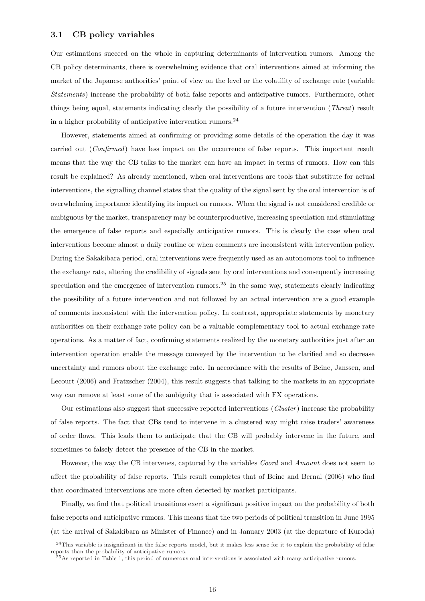## 3.1 CB policy variables

Our estimations succeed on the whole in capturing determinants of intervention rumors. Among the CB policy determinants, there is overwhelming evidence that oral interventions aimed at informing the market of the Japanese authorities' point of view on the level or the volatility of exchange rate (variable Statements) increase the probability of both false reports and anticipative rumors. Furthermore, other things being equal, statements indicating clearly the possibility of a future intervention (Threat) result in a higher probability of anticipative intervention rumors. $^{24}$ 

However, statements aimed at confirming or providing some details of the operation the day it was carried out (Confirmed) have less impact on the occurrence of false reports. This important result means that the way the CB talks to the market can have an impact in terms of rumors. How can this result be explained? As already mentioned, when oral interventions are tools that substitute for actual interventions, the signalling channel states that the quality of the signal sent by the oral intervention is of overwhelming importance identifying its impact on rumors. When the signal is not considered credible or ambiguous by the market, transparency may be counterproductive, increasing speculation and stimulating the emergence of false reports and especially anticipative rumors. This is clearly the case when oral interventions become almost a daily routine or when comments are inconsistent with intervention policy. During the Sakakibara period, oral interventions were frequently used as an autonomous tool to influence the exchange rate, altering the credibility of signals sent by oral interventions and consequently increasing speculation and the emergence of intervention rumors.<sup>25</sup> In the same way, statements clearly indicating the possibility of a future intervention and not followed by an actual intervention are a good example of comments inconsistent with the intervention policy. In contrast, appropriate statements by monetary authorities on their exchange rate policy can be a valuable complementary tool to actual exchange rate operations. As a matter of fact, confirming statements realized by the monetary authorities just after an intervention operation enable the message conveyed by the intervention to be clarified and so decrease uncertainty and rumors about the exchange rate. In accordance with the results of Beine, Janssen, and Lecourt (2006) and Fratzscher (2004), this result suggests that talking to the markets in an appropriate way can remove at least some of the ambiguity that is associated with FX operations.

Our estimations also suggest that successive reported interventions (Cluster) increase the probability of false reports. The fact that CBs tend to intervene in a clustered way might raise traders' awareness of order flows. This leads them to anticipate that the CB will probably intervene in the future, and sometimes to falsely detect the presence of the CB in the market.

However, the way the CB intervenes, captured by the variables *Coord* and *Amount* does not seem to affect the probability of false reports. This result completes that of Beine and Bernal (2006) who find that coordinated interventions are more often detected by market participants.

Finally, we find that political transitions exert a significant positive impact on the probability of both false reports and anticipative rumors. This means that the two periods of political transition in June 1995 (at the arrival of Sakakibara as Minister of Finance) and in January 2003 (at the departure of Kuroda)

 $^{24}$ This variable is insignificant in the false reports model, but it makes less sense for it to explain the probability of false reports than the probability of anticipative rumors.

<sup>&</sup>lt;sup>25</sup>As reported in Table 1, this period of numerous oral interventions is associated with many anticipative rumors.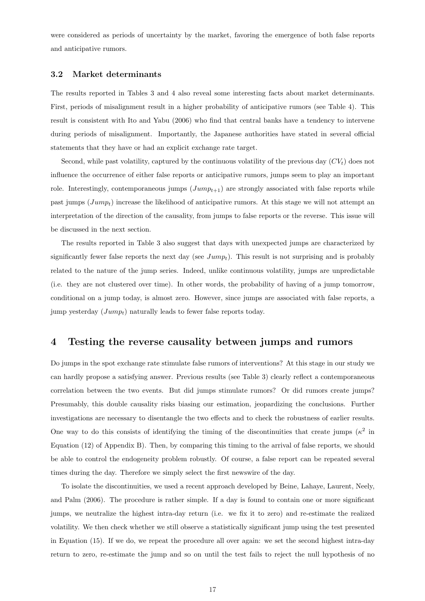were considered as periods of uncertainty by the market, favoring the emergence of both false reports and anticipative rumors.

## 3.2 Market determinants

The results reported in Tables 3 and 4 also reveal some interesting facts about market determinants. First, periods of misalignment result in a higher probability of anticipative rumors (see Table 4). This result is consistent with Ito and Yabu (2006) who find that central banks have a tendency to intervene during periods of misalignment. Importantly, the Japanese authorities have stated in several official statements that they have or had an explicit exchange rate target.

Second, while past volatility, captured by the continuous volatility of the previous day  $(CV_t)$  does not influence the occurrence of either false reports or anticipative rumors, jumps seem to play an important role. Interestingly, contemporaneous jumps  $(Jump_{t+1})$  are strongly associated with false reports while past jumps  $(Jump_t)$  increase the likelihood of anticipative rumors. At this stage we will not attempt an interpretation of the direction of the causality, from jumps to false reports or the reverse. This issue will be discussed in the next section.

The results reported in Table 3 also suggest that days with unexpected jumps are characterized by significantly fewer false reports the next day (see  $Jump<sub>t</sub>$ ). This result is not surprising and is probably related to the nature of the jump series. Indeed, unlike continuous volatility, jumps are unpredictable (i.e. they are not clustered over time). In other words, the probability of having of a jump tomorrow, conditional on a jump today, is almost zero. However, since jumps are associated with false reports, a jump yesterday  $(Jump_t)$  naturally leads to fewer false reports today.

# 4 Testing the reverse causality between jumps and rumors

Do jumps in the spot exchange rate stimulate false rumors of interventions? At this stage in our study we can hardly propose a satisfying answer. Previous results (see Table 3) clearly reflect a contemporaneous correlation between the two events. But did jumps stimulate rumors? Or did rumors create jumps? Presumably, this double causality risks biasing our estimation, jeopardizing the conclusions. Further investigations are necessary to disentangle the two effects and to check the robustness of earlier results. One way to do this consists of identifying the timing of the discontinuities that create jumps ( $\kappa^2$  in Equation (12) of Appendix B). Then, by comparing this timing to the arrival of false reports, we should be able to control the endogeneity problem robustly. Of course, a false report can be repeated several times during the day. Therefore we simply select the first newswire of the day.

To isolate the discontinuities, we used a recent approach developed by Beine, Lahaye, Laurent, Neely, and Palm (2006). The procedure is rather simple. If a day is found to contain one or more significant jumps, we neutralize the highest intra-day return (i.e. we fix it to zero) and re-estimate the realized volatility. We then check whether we still observe a statistically significant jump using the test presented in Equation (15). If we do, we repeat the procedure all over again: we set the second highest intra-day return to zero, re-estimate the jump and so on until the test fails to reject the null hypothesis of no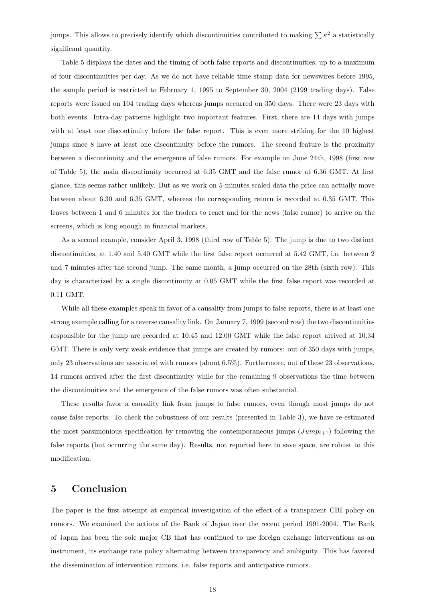jumps. This allows to precisely identify which discontinuities contributed to making  $\sum \kappa^2$  a statistically significant quantity.

Table 5 displays the dates and the timing of both false reports and discontinuities, up to a maximum of four discontinuities per day. As we do not have reliable time stamp data for newswires before 1995, the sample period is restricted to February 1, 1995 to September 30, 2004 (2199 trading days). False reports were issued on 104 trading days whereas jumps occurred on 350 days. There were 23 days with both events. Intra-day patterns highlight two important features. First, there are 14 days with jumps with at least one discontinuity before the false report. This is even more striking for the 10 highest jumps since 8 have at least one discontinuity before the rumors. The second feature is the proximity between a discontinuity and the emergence of false rumors. For example on June 24th, 1998 (first row of Table 5), the main discontinuity occurred at 6.35 GMT and the false rumor at 6.36 GMT. At first glance, this seems rather unlikely. But as we work on 5-minutes scaled data the price can actually move between about 6.30 and 6.35 GMT, whereas the corresponding return is recorded at 6.35 GMT. This leaves between 1 and 6 minutes for the traders to react and for the news (false rumor) to arrive on the screens, which is long enough in financial markets.

As a second example, consider April 3, 1998 (third row of Table 5). The jump is due to two distinct discontinuities, at 1.40 and 5.40 GMT while the first false report occurred at 5.42 GMT, i.e. between 2 and 7 minutes after the second jump. The same month, a jump occurred on the 28th (sixth row). This day is characterized by a single discontinuity at 0.05 GMT while the first false report was recorded at 0.11 GMT.

While all these examples speak in favor of a causality from jumps to false reports, there is at least one strong example calling for a reverse causality link. On January 7, 1999 (second row) the two discontinuities responsible for the jump are recorded at 10.45 and 12.00 GMT while the false report arrived at 10.34 GMT. There is only very weak evidence that jumps are created by rumors: out of 350 days with jumps, only 23 observations are associated with rumors (about 6.5%). Furthermore, out of these 23 observations, 14 rumors arrived after the first discontinuity while for the remaining 9 observations the time between the discontinuities and the emergence of the false rumors was often substantial.

These results favor a causality link from jumps to false rumors, even though most jumps do not cause false reports. To check the robustness of our results (presented in Table 3), we have re-estimated the most parsimonious specification by removing the contemporaneous jumps  $(Jump_{t+1})$  following the false reports (but occurring the same day). Results, not reported here to save space, are robust to this modification.

# 5 Conclusion

The paper is the first attempt at empirical investigation of the effect of a transparent CBI policy on rumors. We examined the actions of the Bank of Japan over the recent period 1991-2004. The Bank of Japan has been the sole major CB that has continued to use foreign exchange interventions as an instrument, its exchange rate policy alternating between transparency and ambiguity. This has favored the dissemination of intervention rumors, i.e. false reports and anticipative rumors.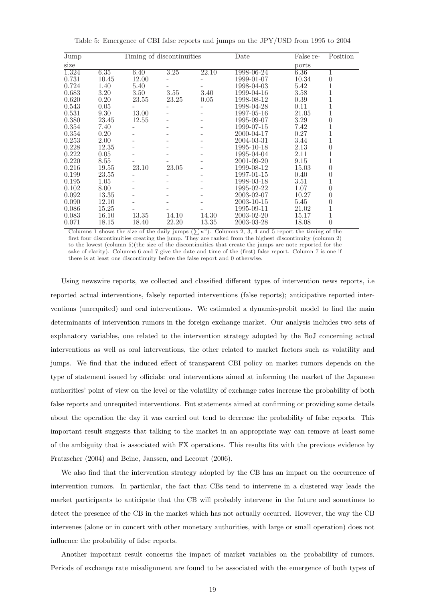| $\overline{\text{Jump}}$ |          | Timing of discontinuities |       |       | Date       | False re- | Position       |
|--------------------------|----------|---------------------------|-------|-------|------------|-----------|----------------|
| size                     |          |                           |       |       |            | ports     |                |
| 1.324                    | $6.35\,$ | 6.40                      | 3.25  | 22.10 | 1998-06-24 | 6.36      | T              |
| 0.731                    | 10.45    | 12.00                     |       |       | 1999-01-07 | 10.34     | $\theta$       |
| 0.724                    | 1.40     | 5.40                      |       |       | 1998-04-03 | 5.42      |                |
| 0.683                    | 3.20     | 3.50                      | 3.55  | 3.40  | 1999-04-16 | 3.58      |                |
| 0.620                    | 0.20     | 23.55                     | 23.25 | 0.05  | 1998-08-12 | 0.39      |                |
| 0.543                    | 0.05     |                           |       |       | 1998-04-28 | 0.11      |                |
| 0.531                    | 9.30     | 13.00                     |       |       | 1997-05-16 | 21.05     | 1              |
| 0.380                    | 23.45    | 12.55                     |       |       | 1995-09-07 | 3.29      | 0              |
| 0.354                    | 7.40     |                           |       |       | 1999-07-15 | 7.42      |                |
| 0.354                    | 0.20     |                           |       |       | 2000-04-17 | 0.27      |                |
| 0.253                    | 2.00     |                           |       |       | 2004-03-31 | 3.44      | 1              |
| 0.228                    | 12.35    |                           |       |       | 1995-10-18 | 2.13      | $\theta$       |
| 0.222                    | 0.05     |                           |       |       | 1995-04-04 | 2.11      |                |
| 0.220                    | 8.55     |                           |       |       | 2001-09-20 | 9.15      | 1              |
| 0.216                    | 19.55    | 23.10                     | 23.05 |       | 1999-08-12 | 15.03     | 0              |
| 0.199                    | 23.55    |                           |       |       | 1997-01-15 | 0.40      | $\theta$       |
| 0.195                    | 1.05     |                           |       |       | 1998-03-18 | 3.51      | 1              |
| 0.102                    | 8.00     |                           |       |       | 1995-02-22 | 1.07      | $\overline{0}$ |
| 0.092                    | 13.35    |                           |       |       | 2003-02-07 | 10.27     | $\overline{0}$ |
| 0.090                    | 12.10    |                           |       |       | 2003-10-15 | 5.45      | $\overline{0}$ |
| 0.086                    | 15.25    |                           |       |       | 1995-09-11 | 21.02     | 1              |
| 0.083                    | 16.10    | 13.35                     | 14.10 | 14.30 | 2003-02-20 | 15.17     | 1              |
| 0.071                    | 18.15    | 18.40                     | 22.20 | 13.35 | 2003-03-28 | 18.08     | $\theta$       |

Table 5: Emergence of CBI false reports and jumps on the JPY/USD from 1995 to 2004

Columns 1 shows the size of the daily jumps  $(\sum \kappa^2)$ . Columns 2, 3, 4 and 5 report the timing of the first four discontinuities creating the jump. They are ranked from the highest discontinuity (column 2) to the lowest (column 5)(the size of the discontinuities that create the jumps are note reported for the sake of clarity). Columns 6 and 7 give the date and time of the (first) false report. Column 7 is one if there is at least one discontinuity before the false report and 0 otherwise.

Using newswire reports, we collected and classified different types of intervention news reports, i.e reported actual interventions, falsely reported interventions (false reports); anticipative reported interventions (unrequited) and oral interventions. We estimated a dynamic-probit model to find the main determinants of intervention rumors in the foreign exchange market. Our analysis includes two sets of explanatory variables, one related to the intervention strategy adopted by the BoJ concerning actual interventions as well as oral interventions, the other related to market factors such as volatility and jumps. We find that the induced effect of transparent CBI policy on market rumors depends on the type of statement issued by officials: oral interventions aimed at informing the market of the Japanese authorities' point of view on the level or the volatility of exchange rates increase the probability of both false reports and unrequited interventions. But statements aimed at confirming or providing some details about the operation the day it was carried out tend to decrease the probability of false reports. This important result suggests that talking to the market in an appropriate way can remove at least some of the ambiguity that is associated with FX operations. This results fits with the previous evidence by Fratzscher (2004) and Beine, Janssen, and Lecourt (2006).

We also find that the intervention strategy adopted by the CB has an impact on the occurrence of intervention rumors. In particular, the fact that CBs tend to intervene in a clustered way leads the market participants to anticipate that the CB will probably intervene in the future and sometimes to detect the presence of the CB in the market which has not actually occurred. However, the way the CB intervenes (alone or in concert with other monetary authorities, with large or small operation) does not influence the probability of false reports.

Another important result concerns the impact of market variables on the probability of rumors. Periods of exchange rate misalignment are found to be associated with the emergence of both types of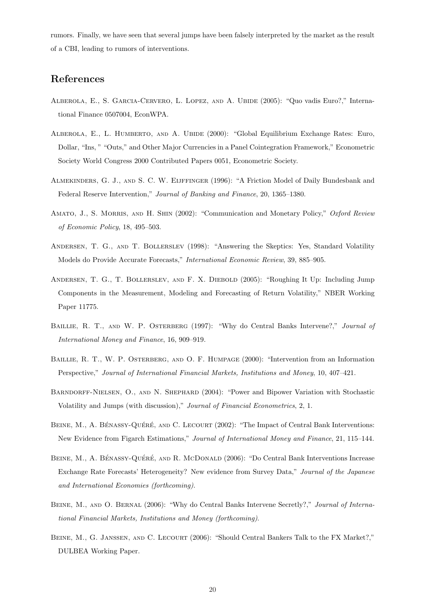rumors. Finally, we have seen that several jumps have been falsely interpreted by the market as the result of a CBI, leading to rumors of interventions.

# References

- Alberola, E., S. Garcia-Cervero, L. Lopez, and A. Ubide (2005): "Quo vadis Euro?," International Finance 0507004, EconWPA.
- ALBEROLA, E., L. HUMBERTO, AND A. UBIDE (2000): "Global Equilibrium Exchange Rates: Euro, Dollar, "Ins, " "Outs," and Other Major Currencies in a Panel Cointegration Framework," Econometric Society World Congress 2000 Contributed Papers 0051, Econometric Society.
- Almekinders, G. J., and S. C. W. Eijffinger (1996): "A Friction Model of Daily Bundesbank and Federal Reserve Intervention," Journal of Banking and Finance, 20, 1365–1380.
- AMATO, J., S. MORRIS, AND H. SHIN (2002): "Communication and Monetary Policy," Oxford Review of Economic Policy, 18, 495–503.
- Andersen, T. G., and T. Bollerslev (1998): "Answering the Skeptics: Yes, Standard Volatility Models do Provide Accurate Forecasts," International Economic Review, 39, 885–905.
- Andersen, T. G., T. Bollerslev, and F. X. Diebold (2005): "Roughing It Up: Including Jump Components in the Measurement, Modeling and Forecasting of Return Volatility," NBER Working Paper 11775.
- BAILLIE, R. T., AND W. P. OSTERBERG (1997): "Why do Central Banks Intervene?," Journal of International Money and Finance, 16, 909–919.
- BAILLIE, R. T., W. P. OSTERBERG, AND O. F. HUMPAGE (2000): "Intervention from an Information Perspective," Journal of International Financial Markets, Institutions and Money, 10, 407–421.
- BARNDORFF-NIELSEN, O., AND N. SHEPHARD (2004): "Power and Bipower Variation with Stochastic Volatility and Jumps (with discussion)," Journal of Financial Econometrics, 2, 1.
- BEINE, M., A. BÉNASSY-QUÉRÉ, AND C. LECOURT (2002): "The Impact of Central Bank Interventions: New Evidence from Figarch Estimations," Journal of International Money and Finance, 21, 115–144.
- BEINE, M., A. BÉNASSY-QUÉRÉ, AND R. MCDONALD (2006): "Do Central Bank Interventions Increase Exchange Rate Forecasts' Heterogeneity? New evidence from Survey Data," Journal of the Japanese and International Economies (forthcoming).
- Beine, M., and O. Bernal (2006): "Why do Central Banks Intervene Secretly?," Journal of International Financial Markets, Institutions and Money (forthcoming).
- Beine, M., G. Janssen, and C. Lecourt (2006): "Should Central Bankers Talk to the FX Market?," DULBEA Working Paper.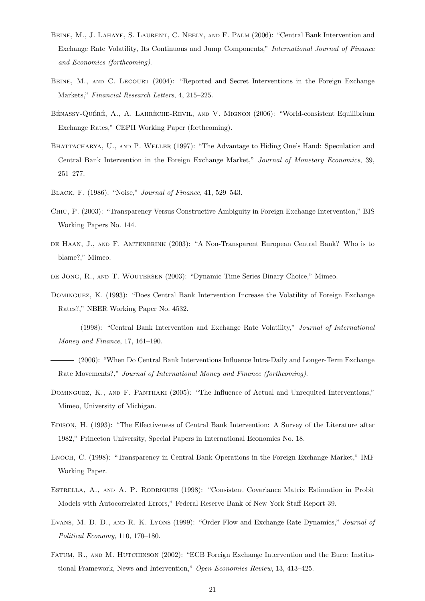- BEINE, M., J. LAHAYE, S. LAURENT, C. NEELY, AND F. PALM (2006): "Central Bank Intervention and Exchange Rate Volatility, Its Continuous and Jump Components," International Journal of Finance and Economics (forthcoming).
- BEINE, M., AND C. LECOURT (2004): "Reported and Secret Interventions in the Foreign Exchange Markets," Financial Research Letters, 4, 215–225.
- BÉNASSY-QUÉRÉ, A., A. LAHRÈCHE-REVIL, AND V. MIGNON (2006): "World-consistent Equilibrium Exchange Rates," CEPII Working Paper (forthcoming).
- BHATTACHARYA, U., AND P. WELLER (1997): "The Advantage to Hiding One's Hand: Speculation and Central Bank Intervention in the Foreign Exchange Market," Journal of Monetary Economics, 39, 251–277.
- Black, F. (1986): "Noise," Journal of Finance, 41, 529–543.
- Chiu, P. (2003): "Transparency Versus Constructive Ambiguity in Foreign Exchange Intervention," BIS Working Papers No. 144.
- DE HAAN, J., AND F. AMTENBRINK (2003): "A Non-Transparent European Central Bank? Who is to blame?," Mimeo.
- de Jong, R., and T. Woutersen (2003): "Dynamic Time Series Binary Choice," Mimeo.
- Dominguez, K. (1993): "Does Central Bank Intervention Increase the Volatility of Foreign Exchange Rates?," NBER Working Paper No. 4532.
- (1998): "Central Bank Intervention and Exchange Rate Volatility," Journal of International Money and Finance, 17, 161–190.
- (2006): "When Do Central Bank Interventions Influence Intra-Daily and Longer-Term Exchange Rate Movements?," Journal of International Money and Finance (forthcoming).
- DOMINGUEZ, K., AND F. PANTHAKI (2005): "The Influence of Actual and Unrequited Interventions," Mimeo, University of Michigan.
- Edison, H. (1993): "The Effectiveness of Central Bank Intervention: A Survey of the Literature after 1982," Princeton University, Special Papers in International Economics No. 18.
- Enoch, C. (1998): "Transparency in Central Bank Operations in the Foreign Exchange Market," IMF Working Paper.
- Estrella, A., and A. P. Rodrigues (1998): "Consistent Covariance Matrix Estimation in Probit Models with Autocorrelated Errors," Federal Reserve Bank of New York Staff Report 39.
- Evans, M. D. D., and R. K. Lyons (1999): "Order Flow and Exchange Rate Dynamics," Journal of Political Economy, 110, 170–180.
- FATUM, R., AND M. HUTCHINSON (2002): "ECB Foreign Exchange Intervention and the Euro: Institutional Framework, News and Intervention," Open Economies Review, 13, 413–425.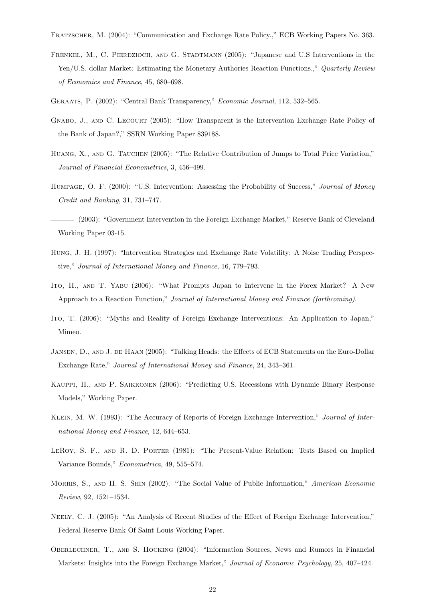Fratzscher, M. (2004): "Communication and Exchange Rate Policy.," ECB Working Papers No. 363.

- FRENKEL, M., C. PIERDZIOCH, AND G. STADTMANN (2005): "Japanese and U.S Interventions in the Yen/U.S. dollar Market: Estimating the Monetary Authories Reaction Functions.," Quarterly Review of Economics and Finance, 45, 680–698.
- Geraats, P. (2002): "Central Bank Transparency," Economic Journal, 112, 532–565.
- GNABO, J., AND C. LECOURT (2005): "How Transparent is the Intervention Exchange Rate Policy of the Bank of Japan?," SSRN Working Paper 839188.
- HUANG, X., AND G. TAUCHEN (2005): "The Relative Contribution of Jumps to Total Price Variation," Journal of Financial Econometrics, 3, 456–499.
- Humpage, O. F. (2000): "U.S. Intervention: Assessing the Probability of Success," Journal of Money Credit and Banking, 31, 731–747.

(2003): "Government Intervention in the Foreign Exchange Market," Reserve Bank of Cleveland Working Paper 03-15.

- Hung, J. H. (1997): "Intervention Strategies and Exchange Rate Volatility: A Noise Trading Perspective," Journal of International Money and Finance, 16, 779–793.
- ITO, H., AND T. YABU (2006): "What Prompts Japan to Intervene in the Forex Market? A New Approach to a Reaction Function," Journal of International Money and Finance (forthcoming).
- Ito, T. (2006): "Myths and Reality of Foreign Exchange Interventions: An Application to Japan," Mimeo.
- JANSEN, D., AND J. DE HAAN (2005): "Talking Heads: the Effects of ECB Statements on the Euro-Dollar Exchange Rate," Journal of International Money and Finance, 24, 343–361.
- Kauppi, H., and P. Saikkonen (2006): "Predicting U.S. Recessions with Dynamic Binary Response Models," Working Paper.
- Klein, M. W. (1993): "The Accuracy of Reports of Foreign Exchange Intervention," Journal of International Money and Finance, 12, 644–653.
- LeRoy, S. F., and R. D. Porter (1981): "The Present-Value Relation: Tests Based on Implied Variance Bounds," Econometrica, 49, 555–574.
- MORRIS, S., AND H. S. SHIN (2002): "The Social Value of Public Information," American Economic Review, 92, 1521–1534.
- Neely, C. J. (2005): "An Analysis of Recent Studies of the Effect of Foreign Exchange Intervention," Federal Reserve Bank Of Saint Louis Working Paper.
- Oberlechner, T., and S. Hocking (2004): "Information Sources, News and Rumors in Financial Markets: Insights into the Foreign Exchange Market," Journal of Economic Psychology, 25, 407–424.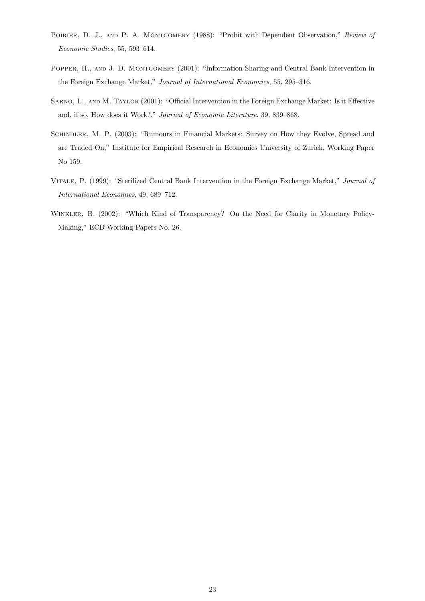- POIRIER, D. J., AND P. A. MONTGOMERY (1988): "Probit with Dependent Observation," Review of Economic Studies, 55, 593–614.
- POPPER, H., AND J. D. MONTGOMERY (2001): "Information Sharing and Central Bank Intervention in the Foreign Exchange Market," Journal of International Economics, 55, 295–316.
- Sarno, L., and M. Taylor (2001): "Official Intervention in the Foreign Exchange Market: Is it Effective and, if so, How does it Work?," Journal of Economic Literature, 39, 839–868.
- SCHINDLER, M. P. (2003): "Rumours in Financial Markets: Survey on How they Evolve, Spread and are Traded On," Institute for Empirical Research in Economics University of Zurich, Working Paper No 159.
- Vitale, P. (1999): "Sterilized Central Bank Intervention in the Foreign Exchange Market," Journal of International Economics, 49, 689–712.
- Winkler, B. (2002): "Which Kind of Transparency? On the Need for Clarity in Monetary Policy-Making," ECB Working Papers No. 26.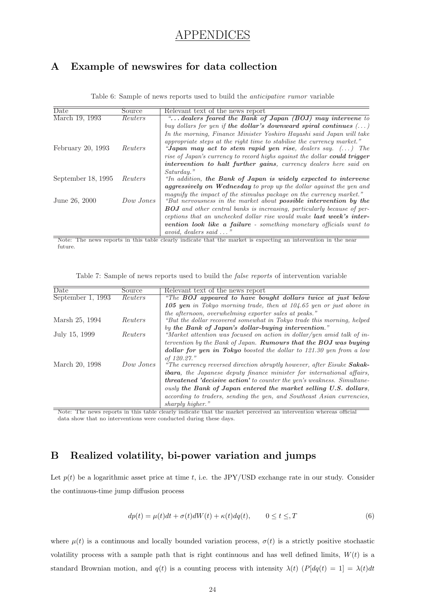# A Example of newswires for data collection

| Date               | Source           | Relevant text of the news report                                               |
|--------------------|------------------|--------------------------------------------------------------------------------|
| March 19, 1993     | Reuters          | " dealers feared the Bank of Japan (BOJ) may intervene to                      |
|                    |                  | buy dollars for yen if the dollar's downward spiral continues $(\dots)$        |
|                    |                  | In the morning, Finance Minister Yoshiro Hayashi said Japan will take          |
|                    |                  | appropriate steps at the right time to stabilise the currency market."         |
| February 20, 1993  | Reuters          | "Japan may act to stem rapid yen rise, dealers say. $(\dots)$ The              |
|                    |                  | rise of Japan's currency to record highs against the dollar could trigger      |
|                    |                  | intervention to halt further gains, currency dealers here said on              |
|                    |                  | Saturday."                                                                     |
| September 18, 1995 | Reuters          | "In addition, the Bank of Japan is widely expected to intervene"               |
|                    |                  | aggressively on Wednesday to prop up the dollar against the yen and            |
|                    |                  | magnify the impact of the stimulus package on the currency market."            |
| June 26, 2000      | Dow <i>Jones</i> | "But nervousness in the market about possible intervention by the              |
|                    |                  | <b>BOJ</b> and other central banks is increasing, particularly because of per- |
|                    |                  | ceptions that an unchecked dollar rise would make last week's inter-           |
|                    |                  | vention look like a failure - something monetary officials want to             |
|                    |                  | $avoid, \, dealers \, said \, \ldots$                                          |

Table 6: Sample of news reports used to build the anticipative rumor variable

Note: The news reports in this table clearly indicate that the market is expecting an intervention in the near future.

| Source    | Relevant text of the news report                                               |
|-----------|--------------------------------------------------------------------------------|
| Reuters   | "The BOJ appeared to have bought dollars twice at just below                   |
|           | 105 yen in Tokyo morning trade, then at $104.65$ yen or just above in          |
|           | the afternoon, overwhelming exporter sales at peaks."                          |
| Reuters   | "But the dollar recovered somewhat in Tokyo trade this morning, helped         |
|           | by the Bank of Japan's dollar-buying intervention."                            |
| Reuters   | "Market attention was focused on action in dollar/yen amid talk of in-         |
|           | tervention by the Bank of Japan. Rumours that the BOJ was buying               |
|           | <b>dollar for yen in Tokyo</b> boosted the dollar to 121.30 yen from a low     |
|           | of 120.27."                                                                    |
| Dow Jones | "The currency reversed direction abruptly however, after Eisuke Sakak-         |
|           | <b>ibara</b> , the Japanese deputy finance minister for international affairs, |
|           | <b>threatened 'decisive action'</b> to counter the yen's weakness. Simultane-  |
|           | ously the Bank of Japan entered the market selling U.S. dollars,               |
|           | according to traders, sending the yen, and Southeast Asian currencies,         |
|           | sharply higher."                                                               |
|           |                                                                                |

Table 7: Sample of news reports used to build the false reports of intervention variable

Note: The news reports in this table clearly indicate that the market perceived an intervention whereas official data show that no interventions were conducted during these days.

# B Realized volatility, bi-power variation and jumps

Let  $p(t)$  be a logarithmic asset price at time t, i.e. the JPY/USD exchange rate in our study. Consider the continuous-time jump diffusion process

$$
dp(t) = \mu(t)dt + \sigma(t)dW(t) + \kappa(t)dq(t), \qquad 0 \le t \le T
$$
\n<sup>(6)</sup>

where  $\mu(t)$  is a continuous and locally bounded variation process,  $\sigma(t)$  is a strictly positive stochastic volatility process with a sample path that is right continuous and has well defined limits,  $W(t)$  is a standard Brownian motion, and  $q(t)$  is a counting process with intensity  $\lambda(t)$  ( $P[dq(t) = 1] = \lambda(t)dt$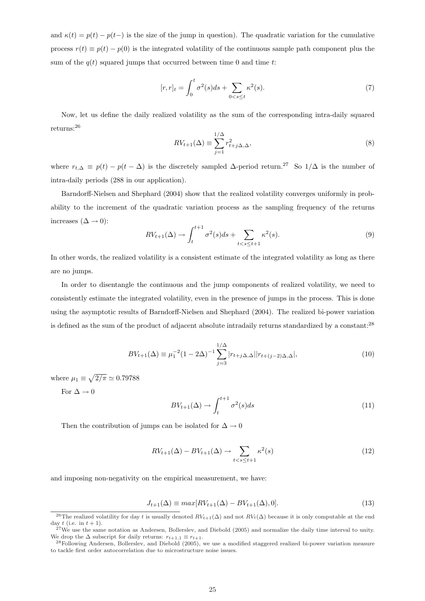and  $\kappa(t) = p(t) - p(t-)$  is the size of the jump in question). The quadratic variation for the cumulative process  $r(t) \equiv p(t) - p(0)$  is the integrated volatility of the continuous sample path component plus the sum of the  $q(t)$  squared jumps that occurred between time 0 and time t:

$$
[r,r]_t = \int_0^t \sigma^2(s)ds + \sum_{0 < s \le t} \kappa^2(s). \tag{7}
$$

Now, let us define the daily realized volatility as the sum of the corresponding intra-daily squared returns:<sup>26</sup>

$$
RV_{t+1}(\Delta) \equiv \sum_{j=1}^{1/\Delta} r_{t+j\Delta,\Delta}^2,
$$
\n(8)

where  $r_{t,\Delta} \equiv p(t) - p(t - \Delta)$  is the discretely sampled  $\Delta$ -period return.<sup>27</sup> So 1/ $\Delta$  is the number of intra-daily periods (288 in our application).

Barndorff-Nielsen and Shephard (2004) show that the realized volatility converges uniformly in probability to the increment of the quadratic variation process as the sampling frequency of the returns increases  $(\Delta \rightarrow 0)$ :

$$
RV_{t+1}(\Delta) \to \int_{t}^{t+1} \sigma^2(s)ds + \sum_{t < s \le t+1} \kappa^2(s). \tag{9}
$$

In other words, the realized volatility is a consistent estimate of the integrated volatility as long as there are no jumps.

In order to disentangle the continuous and the jump components of realized volatility, we need to consistently estimate the integrated volatility, even in the presence of jumps in the process. This is done using the asymptotic results of Barndorff-Nielsen and Shephard (2004). The realized bi-power variation is defined as the sum of the product of adjacent absolute intradaily returns standardized by a constant:<sup>28</sup>

$$
BV_{t+1}(\Delta) \equiv \mu_1^{-2} (1 - 2\Delta)^{-1} \sum_{j=3}^{1/\Delta} |r_{t+j\Delta,\Delta}| |r_{t+(j-2)\Delta,\Delta}|,\tag{10}
$$

where  $\mu_1 \equiv$ p  $2/\pi \simeq 0.79788$ 

For  $\Delta \rightarrow 0$ 

$$
BV_{t+1}(\Delta) \to \int_{t}^{t+1} \sigma^2(s)ds \tag{11}
$$

Then the contribution of jumps can be isolated for  $\Delta \to 0$ 

$$
RV_{t+1}(\Delta) - BV_{t+1}(\Delta) \to \sum_{t < s \le t+1} \kappa^2(s) \tag{12}
$$

and imposing non-negativity on the empirical measurement, we have:

$$
J_{t+1}(\Delta) \equiv max[RV_{t+1}(\Delta) - BV_{t+1}(\Delta), 0].
$$
\n(13)

<sup>&</sup>lt;sup>26</sup>The realized volatility for day t is usually denoted  $RV_{t+1}(\Delta)$  and not  $RV_t(\Delta)$  because it is only computable at the end day  $t$  (i.e. in  $t + 1$ ).

 $27W$ e use the same notation as Andersen, Bollerslev, and Diebold (2005) and normalize the daily time interval to unity. We drop the  $\Delta$  subscript for daily returns:  $r_{t+1,1} \equiv r_{t+1}$ .

<sup>28</sup>Following Andersen, Bollerslev, and Diebold (2005), we use a modified staggered realized bi-power variation measure to tackle first order autocorrelation due to microstructure noise issues.